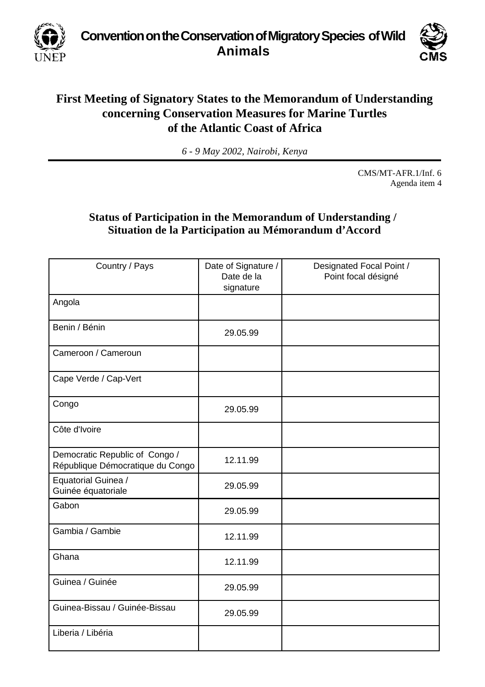**Convention on the Conservation of Migratory Species of Wild Animals**

UNEP



## **First Meeting of Signatory States to the Memorandum of Understanding concerning Conservation Measures for Marine Turtles of the Atlantic Coast of Africa**

*6 - 9 May 2002, Nairobi, Kenya*

CMS/MT-AFR.1/Inf. 6 Agenda item 4

## **Status of Participation in the Memorandum of Understanding / Situation de la Participation au Mémorandum d'Accord**

| Country / Pays                                                     | Date of Signature /<br>Date de la<br>signature | Designated Focal Point /<br>Point focal désigné |
|--------------------------------------------------------------------|------------------------------------------------|-------------------------------------------------|
| Angola                                                             |                                                |                                                 |
| Benin / Bénin                                                      | 29.05.99                                       |                                                 |
| Cameroon / Cameroun                                                |                                                |                                                 |
| Cape Verde / Cap-Vert                                              |                                                |                                                 |
| Congo                                                              | 29.05.99                                       |                                                 |
| Côte d'Ivoire                                                      |                                                |                                                 |
| Democratic Republic of Congo /<br>République Démocratique du Congo | 12.11.99                                       |                                                 |
| Equatorial Guinea /<br>Guinée équatoriale                          | 29.05.99                                       |                                                 |
| Gabon                                                              | 29.05.99                                       |                                                 |
| Gambia / Gambie                                                    | 12.11.99                                       |                                                 |
| Ghana                                                              | 12.11.99                                       |                                                 |
| Guinea / Guinée                                                    | 29.05.99                                       |                                                 |
| Guinea-Bissau / Guinée-Bissau                                      | 29.05.99                                       |                                                 |
| Liberia / Libéria                                                  |                                                |                                                 |